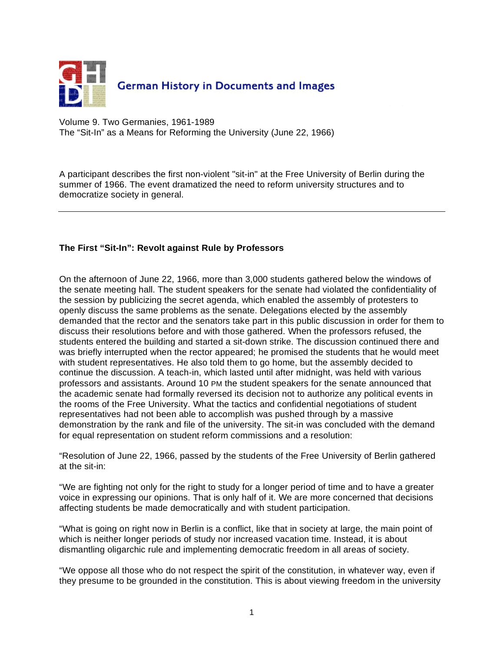

Volume 9. Two Germanies, 1961-1989 The "Sit-In" as a Means for Reforming the University (June 22, 1966)

A participant describes the first non-violent "sit-in" at the Free University of Berlin during the summer of 1966. The event dramatized the need to reform university structures and to democratize society in general.

## **The First "Sit-In": Revolt against Rule by Professors**

On the afternoon of June 22, 1966, more than 3,000 students gathered below the windows of the senate meeting hall. The student speakers for the senate had violated the confidentiality of the session by publicizing the secret agenda, which enabled the assembly of protesters to openly discuss the same problems as the senate. Delegations elected by the assembly demanded that the rector and the senators take part in this public discussion in order for them to discuss their resolutions before and with those gathered. When the professors refused, the students entered the building and started a sit-down strike. The discussion continued there and was briefly interrupted when the rector appeared; he promised the students that he would meet with student representatives. He also told them to go home, but the assembly decided to continue the discussion. A teach-in, which lasted until after midnight, was held with various professors and assistants. Around 10 PM the student speakers for the senate announced that the academic senate had formally reversed its decision not to authorize any political events in the rooms of the Free University. What the tactics and confidential negotiations of student representatives had not been able to accomplish was pushed through by a massive demonstration by the rank and file of the university. The sit-in was concluded with the demand for equal representation on student reform commissions and a resolution:

"Resolution of June 22, 1966, passed by the students of the Free University of Berlin gathered at the sit-in:

"We are fighting not only for the right to study for a longer period of time and to have a greater voice in expressing our opinions. That is only half of it. We are more concerned that decisions affecting students be made democratically and with student participation.

"What is going on right now in Berlin is a conflict, like that in society at large, the main point of which is neither longer periods of study nor increased vacation time. Instead, it is about dismantling oligarchic rule and implementing democratic freedom in all areas of society.

"We oppose all those who do not respect the spirit of the constitution, in whatever way, even if they presume to be grounded in the constitution. This is about viewing freedom in the university